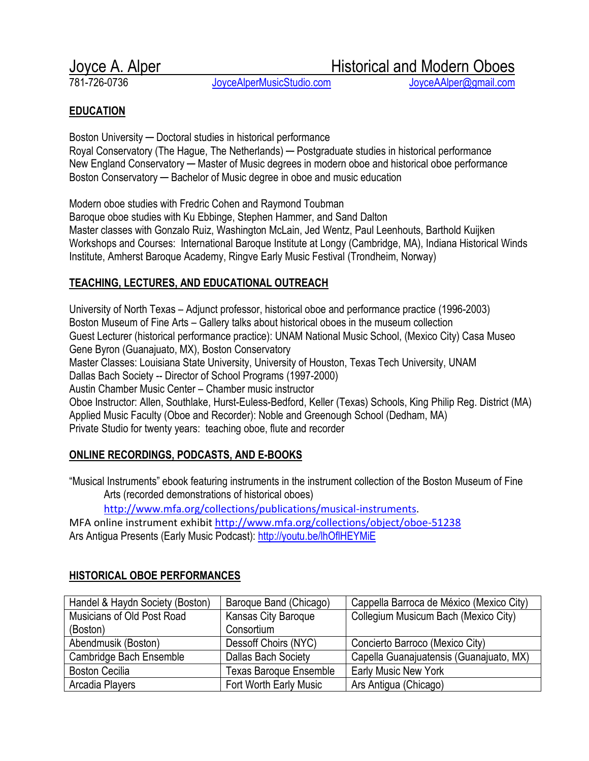JoyceAlperMusicStudio.com

Joyce A. Alper **Historical and Modern Oboes**<br>781-726-0736 **Historical and Modern Oboes** 

### **EDUCATION**

Boston University ─ Doctoral studies in historical performance Royal Conservatory (The Hague, The Netherlands) — Postgraduate studies in historical performance New England Conservatory — Master of Music degrees in modern oboe and historical oboe performance Boston Conservatory ─ Bachelor of Music degree in oboe and music education

Modern oboe studies with Fredric Cohen and Raymond Toubman

Baroque oboe studies with Ku Ebbinge, Stephen Hammer, and Sand Dalton Master classes with Gonzalo Ruiz, Washington McLain, Jed Wentz, Paul Leenhouts, Barthold Kuijken Workshops and Courses: International Baroque Institute at Longy (Cambridge, MA), Indiana Historical Winds Institute, Amherst Baroque Academy, Ringve Early Music Festival (Trondheim, Norway)

# TEACHING, LECTURES, AND EDUCATIONAL OUTREACH

University of North Texas – Adjunct professor, historical oboe and performance practice (1996-2003) Boston Museum of Fine Arts – Gallery talks about historical oboes in the museum collection Guest Lecturer (historical performance practice): UNAM National Music School, (Mexico City) Casa Museo Gene Byron (Guanajuato, MX), Boston Conservatory Master Classes: Louisiana State University, University of Houston, Texas Tech University, UNAM Dallas Bach Society -- Director of School Programs (1997-2000) Austin Chamber Music Center – Chamber music instructor Oboe Instructor: Allen, Southlake, Hurst-Euless-Bedford, Keller (Texas) Schools, King Philip Reg. District (MA) Applied Music Faculty (Oboe and Recorder): Noble and Greenough School (Dedham, MA) Private Studio for twenty years: teaching oboe, flute and recorder

### ONLINE RECORDINGS, PODCASTS, AND E-BOOKS

"Musical Instruments" ebook featuring instruments in the instrument collection of the Boston Museum of Fine Arts (recorded demonstrations of historical oboes)

http://www.mfa.org/collections/publications/musical-instruments.

MFA online instrument exhibit http://www.mfa.org/collections/object/oboe-51238 Ars Antigua Presents (Early Music Podcast): http://youtu.be/lhOflHEYMiE

| Handel & Haydn Society (Boston) | Baroque Band (Chicago)        | Cappella Barroca de México (Mexico City) |
|---------------------------------|-------------------------------|------------------------------------------|
| Musicians of Old Post Road      | Kansas City Baroque           | Collegium Musicum Bach (Mexico City)     |
| (Boston)                        | Consortium                    |                                          |
| Abendmusik (Boston)             | Dessoff Choirs (NYC)          | Concierto Barroco (Mexico City)          |
| Cambridge Bach Ensemble         | <b>Dallas Bach Society</b>    | Capella Guanajuatensis (Guanajuato, MX)  |
| <b>Boston Cecilia</b>           | <b>Texas Baroque Ensemble</b> | <b>Early Music New York</b>              |
| Arcadia Players                 | Fort Worth Early Music        | Ars Antigua (Chicago)                    |

### HISTORICAL OBOE PERFORMANCES